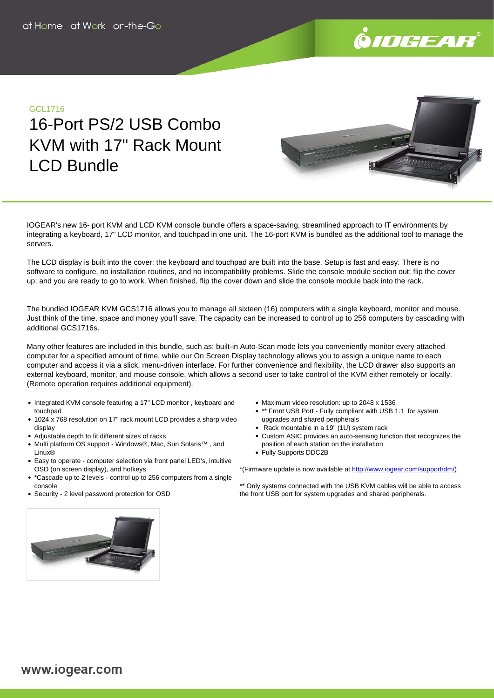

# GCL1716

# 16-Port PS/2 USB Combo KVM with 17" Rack Mount LCD Bundle

IOGEAR's new 16- port KVM and LCD KVM console bundle offers a space-saving, streamlined approach to IT environments by integrating a keyboard, 17" LCD monitor, and touchpad in one unit. The 16-port KVM is bundled as the additional tool to manage the servers.

The LCD display is built into the cover; the keyboard and touchpad are built into the base. Setup is fast and easy. There is no software to configure, no installation routines, and no incompatibility problems. Slide the console module section out; flip the cover up; and you are ready to go to work. When finished, flip the cover down and slide the console module back into the rack.

The bundled IOGEAR KVM GCS1716 allows you to manage all sixteen (16) computers with a single keyboard, monitor and mouse. Just think of the time, space and money you'll save. The capacity can be increased to control up to 256 computers by cascading with additional GCS1716s.

Many other features are included in this bundle, such as: built-in Auto-Scan mode lets you conveniently monitor every attached computer for a specified amount of time, while our On Screen Display technology allows you to assign a unique name to each computer and access it via a slick, menu-driven interface. For further convenience and flexibility, the LCD drawer also supports an external keyboard, monitor, and mouse console, which allows a second user to take control of the KVM either remotely or locally. (Remote operation requires additional equipment).

- Integrated KVM console featuring a 17" LCD monitor, keyboard and touchpad
- 1024 x 768 resolution on 17" rack mount LCD provides a sharp video display
- Adjustable depth to fit different sizes of racks
- Multi platform OS support Windows®, Mac, Sun Solaris™ , and Linux®
- Easy to operate computer selection via front panel LED's, intuitive OSD (on screen display), and hotkeys
- \*Cascade up to 2 levels control up to 256 computers from a single console
- Security 2 level password protection for OSD
- Maximum video resolution: up to 2048 x 1536
- \*\* Front USB Port Fully compliant with USB 1.1 for system upgrades and shared peripherals
- Rack mountable in a 19" (1U) system rack
- Custom ASIC provides an auto-sensing function that recognizes the position of each station on the installation
- Fully Supports DDC2B

\*(Firmware update is now available at [http://www.iogear.com/support/dm/\)](http://www.iogear.com/support/dm/)

\*\* Only systems connected with the USB KVM cables will be able to access the front USB port for system upgrades and shared peripherals.

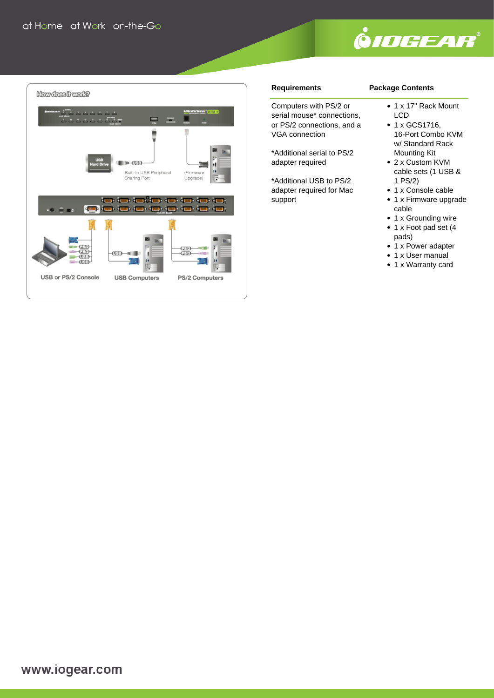



### **Requirements**

## **Package Contents**

Computers with PS/2 or serial mouse\* connections, or PS/2 connections, and a VGA connection

\*Additional serial to PS/2 adapter required

\*Additional USB to PS/2 adapter required for Mac support

• 1 x 17" Rack Mount LCD • 1 x GCS1716,

- 16-Port Combo KVM w/ Standard Rack Mounting Kit
- 2 x Custom KVM cable sets (1 USB & 1 PS/2)
- 1 x Console cable
- 1 x Firmware upgrade cable
- 1 x Grounding wire
- 1 x Foot pad set (4 pads)
- 1 x Power adapter
- 1 x User manual
	- 1 x Warranty card